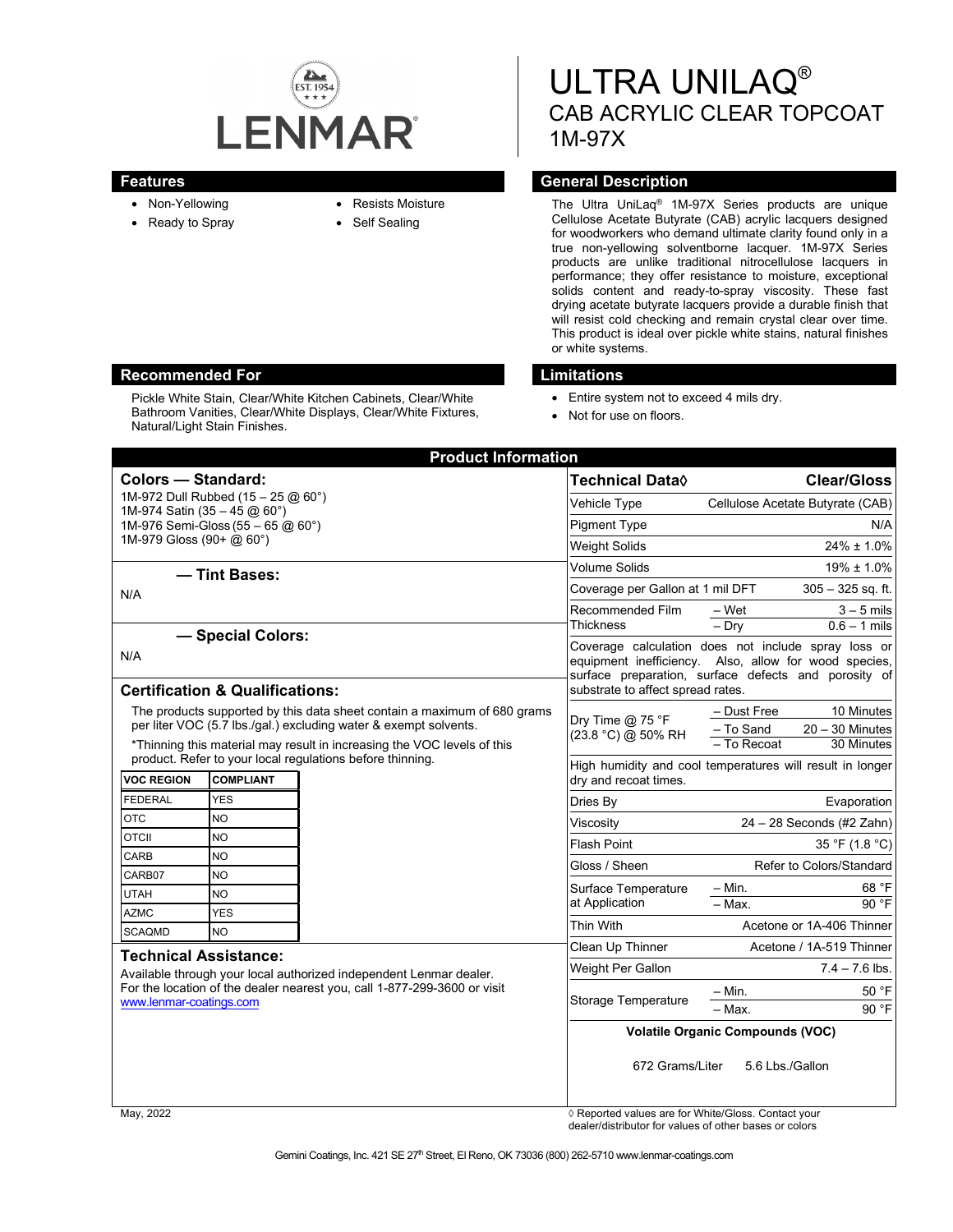

- Non-Yellowing
- Ready to Spray
- Resists Moisture
- Self Sealing

# ULTRA UNILAQ® CAB ACRYLIC CLEAR TOPCOAT 1M-97X

# **Features General Description**

The Ultra UniLaq® 1M-97X Series products are unique Cellulose Acetate Butyrate (CAB) acrylic lacquers designed for woodworkers who demand ultimate clarity found only in a true non-yellowing solventborne lacquer. 1M-97X Series products are unlike traditional nitrocellulose lacquers in performance; they offer resistance to moisture, exceptional solids content and ready-to-spray viscosity. These fast drying acetate butyrate lacquers provide a durable finish that will resist cold checking and remain crystal clear over time. This product is ideal over pickle white stains, natural finishes or white systems.

- Entire system not to exceed 4 mils dry.
- Not for use on floors.

| <b>Product Information</b>                                                                                                                                                                                |                                                                               |  |                                                                                                                                                                                                           |                                                             |
|-----------------------------------------------------------------------------------------------------------------------------------------------------------------------------------------------------------|-------------------------------------------------------------------------------|--|-----------------------------------------------------------------------------------------------------------------------------------------------------------------------------------------------------------|-------------------------------------------------------------|
| <b>Colors - Standard:</b>                                                                                                                                                                                 |                                                                               |  | <b>Technical Data</b> ◊                                                                                                                                                                                   | <b>Clear/Gloss</b>                                          |
| 1M-972 Dull Rubbed $(15 - 25 \textcircled{a} 60^{\circ})$                                                                                                                                                 |                                                                               |  | Vehicle Type                                                                                                                                                                                              | Cellulose Acetate Butyrate (CAB)                            |
| 1M-974 Satin $(35 - 45 \text{ @ } 60^{\circ})$<br>1M-976 Semi-Gloss (55 - 65 @ 60°)<br>1M-979 Gloss (90+ @ 60°)                                                                                           |                                                                               |  | <b>Pigment Type</b>                                                                                                                                                                                       | N/A                                                         |
|                                                                                                                                                                                                           |                                                                               |  | <b>Weight Solids</b>                                                                                                                                                                                      | $24\% \pm 1.0\%$                                            |
| - Tint Bases:                                                                                                                                                                                             |                                                                               |  | Volume Solids                                                                                                                                                                                             | $19\% \pm 1.0\%$                                            |
| N/A                                                                                                                                                                                                       |                                                                               |  | Coverage per Gallon at 1 mil DFT                                                                                                                                                                          | $305 - 325$ sq. ft.                                         |
|                                                                                                                                                                                                           |                                                                               |  | Recommended Film                                                                                                                                                                                          | – Wet<br>$3 - 5$ mils                                       |
| - Special Colors:                                                                                                                                                                                         |                                                                               |  | <b>Thickness</b>                                                                                                                                                                                          | $0.6 - 1$ mils<br>$-$ Dry                                   |
| N/A                                                                                                                                                                                                       |                                                                               |  | Coverage calculation does not include spray loss or<br>equipment inefficiency. Also, allow for wood species,<br>surface preparation, surface defects and porosity of<br>substrate to affect spread rates. |                                                             |
| <b>Certification &amp; Qualifications:</b>                                                                                                                                                                |                                                                               |  |                                                                                                                                                                                                           |                                                             |
| The products supported by this data sheet contain a maximum of 680 grams<br>per liter VOC (5.7 lbs./gal.) excluding water & exempt solvents.                                                              |                                                                               |  | Dry Time $@$ 75 °F<br>(23.8 °C) @ 50% RH                                                                                                                                                                  | - Dust Free<br>10 Minutes<br>- To Sand<br>$20 - 30$ Minutes |
| *Thinning this material may result in increasing the VOC levels of this                                                                                                                                   |                                                                               |  |                                                                                                                                                                                                           | - To Recoat<br>30 Minutes                                   |
| <b>VOC REGION</b>                                                                                                                                                                                         | product. Refer to your local regulations before thinning.<br><b>COMPLIANT</b> |  | High humidity and cool temperatures will result in longer<br>dry and recoat times.                                                                                                                        |                                                             |
| <b>FEDERAL</b>                                                                                                                                                                                            | <b>YES</b>                                                                    |  | Dries By                                                                                                                                                                                                  | Evaporation                                                 |
| <b>OTC</b>                                                                                                                                                                                                | NO                                                                            |  | Viscosity                                                                                                                                                                                                 | $24 - 28$ Seconds (#2 Zahn)                                 |
| <b>OTCII</b>                                                                                                                                                                                              | <b>NO</b>                                                                     |  | <b>Flash Point</b>                                                                                                                                                                                        | 35 °F (1.8 °C)                                              |
| <b>CARB</b>                                                                                                                                                                                               | NO                                                                            |  | Gloss / Sheen                                                                                                                                                                                             | Refer to Colors/Standard                                    |
| CARB07<br><b>UTAH</b>                                                                                                                                                                                     | <b>NO</b><br><b>NO</b>                                                        |  | Surface Temperature                                                                                                                                                                                       | 68 °F<br>– Min.                                             |
| <b>AZMC</b>                                                                                                                                                                                               | <b>YES</b>                                                                    |  | at Application                                                                                                                                                                                            | 90 °F<br>- Max                                              |
| <b>SCAQMD</b>                                                                                                                                                                                             | <b>NO</b>                                                                     |  | Thin With                                                                                                                                                                                                 | Acetone or 1A-406 Thinner                                   |
| <b>Technical Assistance:</b><br>Available through your local authorized independent Lenmar dealer.<br>For the location of the dealer nearest you, call 1-877-299-3600 or visit<br>www.lenmar-coatings.com |                                                                               |  | Clean Up Thinner                                                                                                                                                                                          | Acetone / 1A-519 Thinner                                    |
|                                                                                                                                                                                                           |                                                                               |  | Weight Per Gallon                                                                                                                                                                                         | $7.4 - 7.6$ lbs.                                            |
|                                                                                                                                                                                                           |                                                                               |  | <b>Storage Temperature</b>                                                                                                                                                                                | 50 °F<br>– Min.                                             |
|                                                                                                                                                                                                           |                                                                               |  |                                                                                                                                                                                                           | $-$ Max.<br>90 °F                                           |
|                                                                                                                                                                                                           |                                                                               |  | <b>Volatile Organic Compounds (VOC)</b>                                                                                                                                                                   |                                                             |
|                                                                                                                                                                                                           |                                                                               |  | 5.6 Lbs./Gallon<br>672 Grams/Liter                                                                                                                                                                        |                                                             |

May, 2022 *Reported values are for White/Gloss. Contact your* dealer/distributor for values of other bases or colors



Pickle White Stain, Clear/White Kitchen Cabinets, Clear/White Bathroom Vanities, Clear/White Displays, Clear/White Fixtures, Natural/Light Stain Finishes.